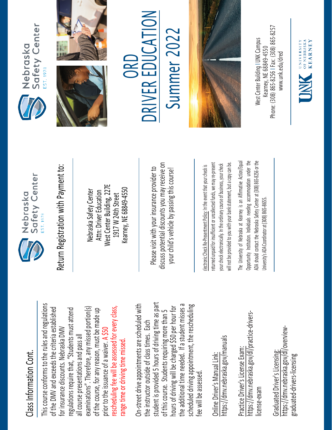## Class Information Cont. Class Information Cont.

This course conforms to the rules and regulations This course conforms to the rules and regulations rescheduling fee will be assessed for every class, examinations". Therefore, any missed portion(s) of the DMV and exceeds the criteria established regulations require that, "Students must attend rescheduling fee will be assessed for every class, of the DMV and exceeds the criteria established examinations". Therefore, any missed portion(s) of the course, for any reason, must be made up regulations require that, "Students must attend of the course, for any reason, must be made up for insurance discounts. Nebraska DMV for insurance discounts. Nebraska DMV prior to the issuance of a waiver. A \$50 all course presentations and pass all all course presentations and pass all range time or driving time missed. range time or driving time missed. prior to the issuance of a waiver.

student is provided 5 hours of driving time as part On-street drive appointments are scheduled with student is provided 5 hours of driving time as part the additional time needed. If a student misses a scheduled driving appointment, the rescheduling the additional time needed. If a student misses a On-street drive appointments are scheduled with hours of driving will be charged \$50 per hour for hours of driving will be charged \$50 per hour for scheduled driving appointment, the rescheduling of this course. Students requiring more than 5 of this course. Students requiring more than 5 the instructor outside of class times. Each the instructor outside of class times. Each fee will be assessed. fee will be assessed

https://dmv.nebraska.gov/manuals https://dmv.nebraska.gov/manuals Online Driver's Manual Link: Online Driver's Manual Link:

https://dmv.nebraska.gov/dl/practice-drivershttps://dmv.nebraska.gov/dl/practice-drivers-Practice Driver's License Exam: Practice Driver's License Exam: license-exam icense-exam

https://dmv.nebraska.gov/dl/overviewhttps://dmv.nebraska.gov/dl/overview-Graduated Driver's Licensing: Graduated Driver's Licensing: graduated-drivers-licensing graduated-drivers-licensing



Nebraska Safety Center Attn: Driver Education West Center Building, 227E 1917 W 24th Street Kearney, NE 68849-4550

Please visit with your insurance provider to discuss potential discounts you may receive on your child's vehicle by passing this course! Return Registration with Payment to:<br>
Nebraska Safety Center<br>
Attn: Driver Education<br>
1917 W 24th Street<br>
Rearney, NE 68849-4550<br>
Rease visit with your insurance provider to<br>
Please visit with your insurance provider to<br>
y

returned unpaid for insufficient or uncollected funds, we may re-present a copy can be. returned unpaid for insufficient or uncollected funds, we may re-present will not be provided to you with your bank statement, but a copy can be. your check electronically. In the ordinary course of business, your check your check electronically. In the ordinary course of business, your check will not be provided to you with your bank statement, but

The University of Nebraska at Kearney is an Affirmative Action/Equal The University of Nebraska at Kearney is an Affirmative Action/Equal Opportunity Institution. Individuals needing accommodation under the ADA should contact the Nebraska Safety Center at (308) 865-8256 or the Opportunity Institution. Individuals needing accommodation under the ADA should contact the Nebraska Safety Center at (308) 865-8256 or the Jniversity's ADA Coordinator at (308) 865-8655. University's ADA Coordinator at (308) 86







ORD

**NC** RIV E R EDUCA  $\sum_{i=1}^{n}$ Summer 202 Summer 2022



Phone: (308) 865-8256 | Fax: (308) 865-8257 West Center Building I UNK Campus Nest Center Building I UNK Campus -8256 I Fax: (308) 865 Kearney, NE 68849-4550 www.unk.edu/dred [www.unk.edu/dred](http://www.unk.edu/dred) Kearney, NE 68849 Phone: (308) 865

UNIVERSITY<br>
OF NEBRASKA<br>
KFARNEY

**KEARNEY**